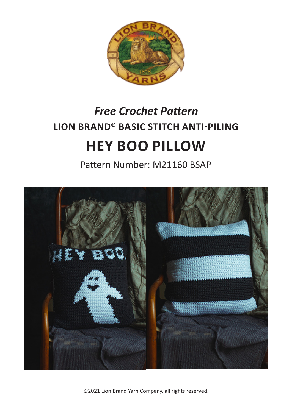

# **LION BRAND® BASIC STITCH ANTI-PILING HEY BOO PILLOW** *Free Crochet Pattern*

Pattern Number: M21160 BSAP



©2021 Lion Brand Yarn Company, all rights reserved.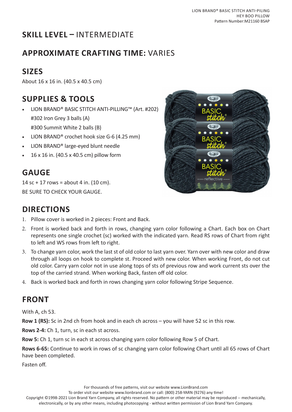# **SKILL LEVEL –** INTERMEDIATE

## **APPROXIMATE CRAFTING TIME:** VARIES

# **SIZES**

About 16 x 16 in. (40.5 x 40.5 cm)

## **SUPPLIES & TOOLS**

- LION BRAND® BASIC STITCH ANTI-PILLING™ (Art. #202) #302 Iron Grey 3 balls (A) #300 Summit White 2 balls (B)
- LION BRAND® crochet hook size G-6 (4.25 mm)
- LION BRAND® large-eyed blunt needle
- 16 x 16 in. (40.5 x 40.5 cm) pillow form

## **GAUGE**

14 sc + 17 rows = about 4 in.  $(10 \text{ cm})$ . BE SURE TO CHECK YOUR GAUGE.



#### **DIRECTIONS**

- 1. Pillow cover is worked in 2 pieces: Front and Back.
- 2. Front is worked back and forth in rows, changing yarn color following a Chart. Each box on Chart represents one single crochet (sc) worked with the indicated yarn. Read RS rows of Chart from right to left and WS rows from left to right.
- 3. To change yarn color, work the last st of old color to last yarn over. Yarn over with new color and draw through all loops on hook to complete st. Proceed with new color. When working Front, do not cut old color. Carry yarn color not in use along tops of sts of previous row and work current sts over the top of the carried strand. When working Back, fasten off old color.
- 4. Back is worked back and forth in rows changing yarn color following Stripe Sequence.

#### **FRONT**

With A, ch 53.

**Row 1 (RS):** Sc in 2nd ch from hook and in each ch across – you will have 52 sc in this row.

**Rows 2-4:** Ch 1, turn, sc in each st across.

**Row 5:** Ch 1, turn sc in each st across changing yarn color following Row 5 of Chart.

**Rows 6-65:** Continue to work in rows of sc changing yarn color following Chart until all 65 rows of Chart have been completed.

Fasten off.

To order visit our website www.lionbrand.com or call: (800) 258-YARN (9276) any time!

Copyright ©1998-2021 Lion Brand Yarn Company, all rights reserved. No pattern or other material may be reproduced -- mechanically, electronically, or by any other means, including photocopying - without written permission of Lion Brand Yarn Company.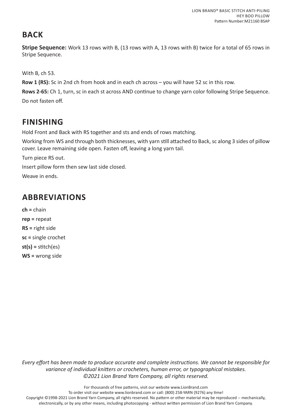## **BACK**

**Stripe Sequence:** Work 13 rows with B, (13 rows with A, 13 rows with B) twice for a total of 65 rows in Stripe Sequence.

With B, ch 53.

**Row 1 (RS):** Sc in 2nd ch from hook and in each ch across – you will have 52 sc in this row.

**Rows 2-65:** Ch 1, turn, sc in each st across AND continue to change yarn color following Stripe Sequence. Do not fasten off.

## **FINISHING**

Hold Front and Back with RS together and sts and ends of rows matching.

Working from WS and through both thicknesses, with yarn still attached to Back, sc along 3 sides of pillow cover. Leave remaining side open. Fasten off, leaving a long yarn tail.

Turn piece RS out.

Insert pillow form then sew last side closed.

Weave in ends.

## **ABBREVIATIONS**

**ch =** chain **rep =** repeat **RS =** right side **sc =** single crochet **st(s) =** stitch(es) **WS =** wrong side

*Every effort has been made to produce accurate and complete instructions. We cannot be responsible for variance of individual knitters or crocheters, human error, or typographical mistakes. ©2021 Lion Brand Yarn Company, all rights reserved.*

For thousands of free patterns, visit our website www.LionBrand.com

To order visit our website www.lionbrand.com or call: (800) 258-YARN (9276) any time!

Copyright ©1998-2021 Lion Brand Yarn Company, all rights reserved. No pattern or other material may be reproduced -- mechanically, electronically, or by any other means, including photocopying - without written permission of Lion Brand Yarn Company.